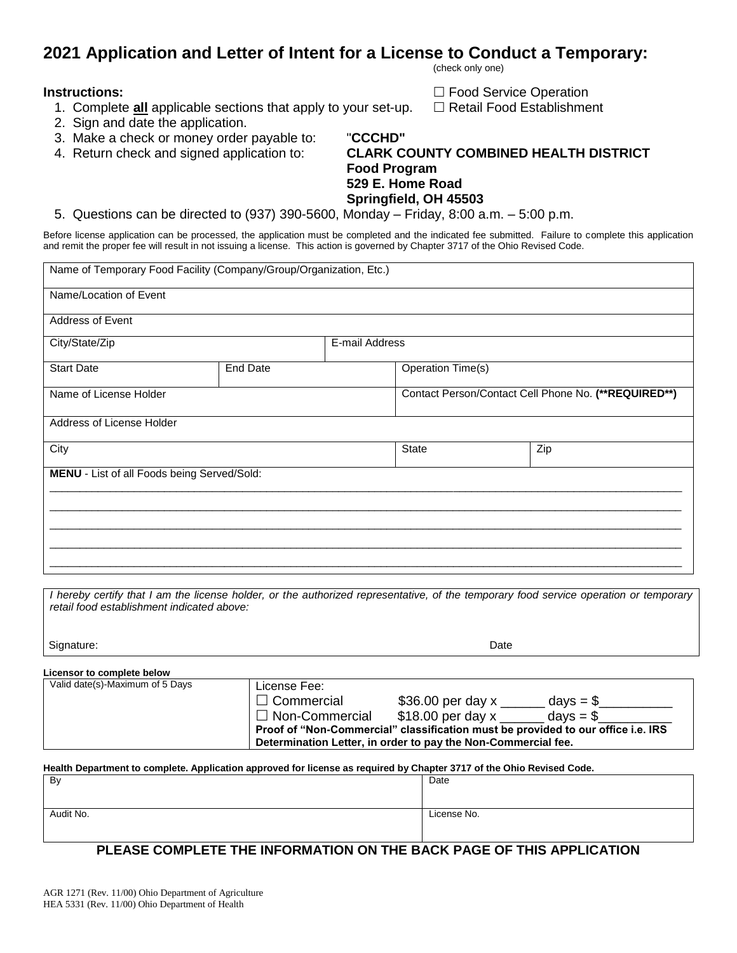# **2021 Application and Letter of Intent for a License to Conduct a Temporary:**

(check only one)

**Instructions: Food Service Operation** 1. Complete all applicable sections that apply to your set-up.  $\Box$  Retail Food Establishment

- 
- 2. Sign and date the application.
- 3. Make a check or money order payable to: "**CCCHD"**
- 

## 4. Return check and signed application to: **CLARK COUNTY COMBINED HEALTH DISTRICT Food Program 529 E. Home Road Springfield, OH 45503**

5. Questions can be directed to (937) 390-5600, Monday – Friday, 8:00 a.m. – 5:00 p.m.

Before license application can be processed, the application must be completed and the indicated fee submitted. Failure to complete this application and remit the proper fee will result in not issuing a license. This action is governed by Chapter 3717 of the Ohio Revised Code.

| Name of Temporary Food Facility (Company/Group/Organization, Etc.) |          |                                                      |              |                   |  |  |
|--------------------------------------------------------------------|----------|------------------------------------------------------|--------------|-------------------|--|--|
| Name/Location of Event                                             |          |                                                      |              |                   |  |  |
| <b>Address of Event</b>                                            |          |                                                      |              |                   |  |  |
| City/State/Zip                                                     |          | E-mail Address                                       |              |                   |  |  |
| <b>Start Date</b>                                                  | End Date |                                                      |              | Operation Time(s) |  |  |
| Name of License Holder                                             |          | Contact Person/Contact Cell Phone No. (**REQUIRED**) |              |                   |  |  |
| Address of License Holder                                          |          |                                                      |              |                   |  |  |
| City                                                               |          |                                                      | <b>State</b> | Zip               |  |  |
| MENU - List of all Foods being Served/Sold:                        |          |                                                      |              |                   |  |  |
|                                                                    |          |                                                      |              |                   |  |  |
|                                                                    |          |                                                      |              |                   |  |  |
|                                                                    |          |                                                      |              |                   |  |  |
|                                                                    |          |                                                      |              |                   |  |  |

*I hereby certify that I am the license holder, or the authorized representative, of the temporary food service operation or temporary retail food establishment indicated above:*

| Signature:                      |                                                            |                                                                                                                                               |                                                                                  |
|---------------------------------|------------------------------------------------------------|-----------------------------------------------------------------------------------------------------------------------------------------------|----------------------------------------------------------------------------------|
| Licensor to complete below      |                                                            |                                                                                                                                               |                                                                                  |
| Valid date(s)-Maximum of 5 Days | License Fee:<br>$\Box$ Commercial<br>$\Box$ Non-Commercial | \$36.00 per day x _______ days = \$___<br>\$18.00 per day x ______ days = \$<br>Determination Letter, in order to pay the Non-Commercial fee. | Proof of "Non-Commercial" classification must be provided to our office i.e. IRS |

#### **Health Department to complete. Application approved for license as required by Chapter 3717 of the Ohio Revised Code.**

| By        | Date        |
|-----------|-------------|
| Audit No. | License No. |

## **PLEASE COMPLETE THE INFORMATION ON THE BACK PAGE OF THIS APPLICATION**